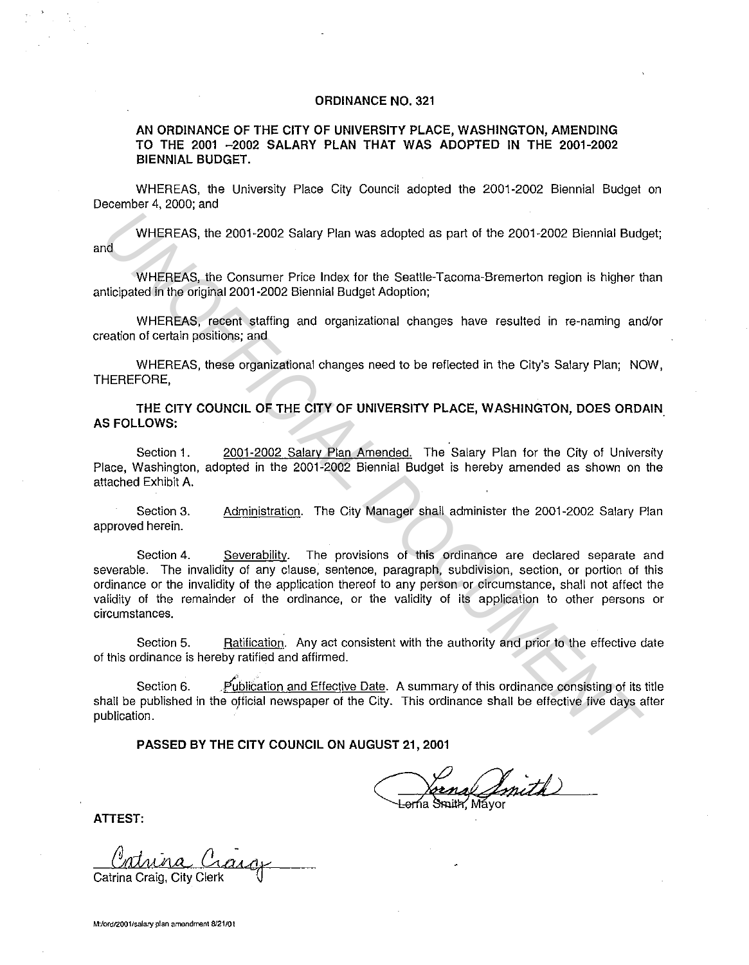## **ORDINANCE NO. 321**

**AN ORDINANCE OF THE CITY OF UNIVERSITY PLACE, WASHINGTON, AMENDING TO THE 2001 -2002 SALARY PLAN THAT WAS ADOPTED IN THE 2001-2002 BIENNIAL BUDGET.** 

WHEREAS, the University Place City Council adopted the 2001-2002 Biennial Budget on December 4, 2000; and

WHEREAS, the 2001-2002 Salary Plan was adopted as part of the 2001-2002 Biennial Budget; and

WHEREAS, the Consumer Price Index for the Seattle-Tacoma-Bremerton region is higher than anticipated in the original 2001-2002 Biennial Budget Adoption;

WHEREAS, recent staffing and organizational changes have resulted in re-naming and/or creation of certain positions; and

WHEREAS, these organizational changes need to be reflected in the City's Salary Plan; NOW, THEREFORE,

**THE CITY COUNCIL OF THE CITY OF UNIVERSITY PLACE, WASHINGTON, DOES ORDAIN. AS FOLLOWS:** 

Section 1. 2001-2002 Salary Plan Amended. The Salary Plan for the City of University Place, Washington, adopted in the 2001-2002 Biennial Budget is hereby amended as shown on the attached Exhibit A.

Section 3. approved herein. Administration. The City Manager shall administer the 2001-2002 Salary Plan

Section 4. Severability. The provisions of this ordinance are declared separate and severable. The invalidity of any clause, sentence, paragraph, subdivision, section, or portion of this ordinance or the invalidity of the application thereof to any person or circumstance, shall not affect the validity of the remainder of the ordinance, or the validity of its application to other persons or circumstances. WHEREAS, the 2001-2002 Salary Pian was adepted as part of the 2001-2002 Biennial Budget<br>
WHEREAS, the Consumer Price Index for the Seattle-Tacoma-Bremerton region is higher the<br>
WHEREAS, the Consumer Price Index for the Se

Section 5. Ratification. Any act consistent with the authority and prior to the effective date of this ordinance is hereby ratified and affirmed.

Section 6. **Publication and Effective Date.** A summary of this ordinance consisting of its title shall be published in the official newspaper of the City. This ordinance shall be effective five days after publication.

**PASSED BY THE CITY COUNCIL ON AUGUST 21, 2001** 

Sana Smith

**ATTEST:** 

Catrina Cargo Catrina Craig, City Clerk \J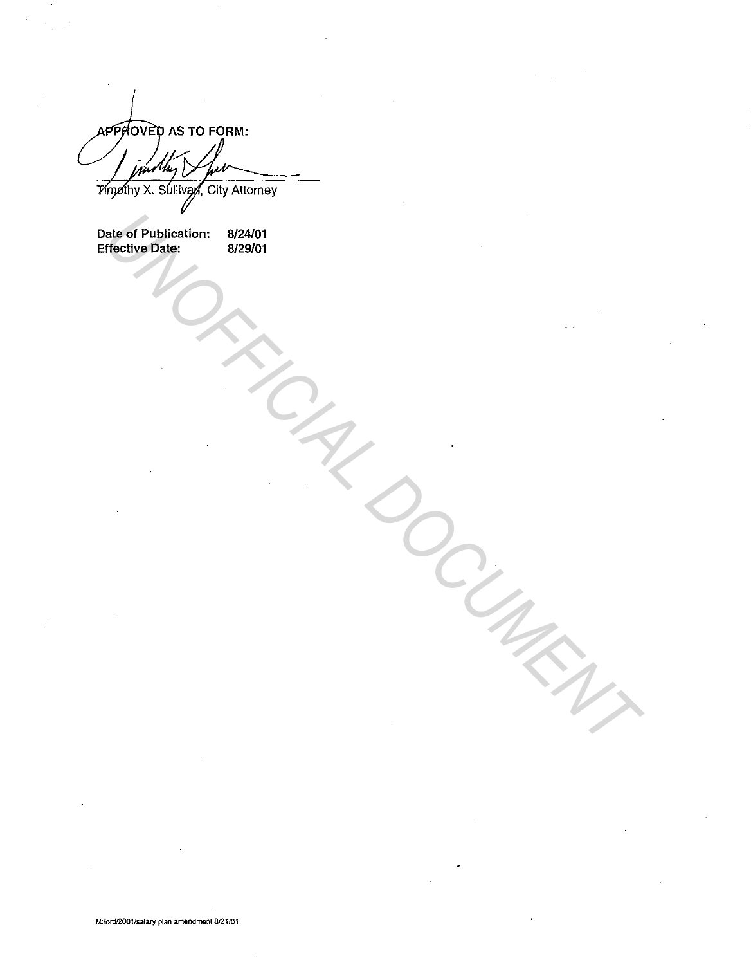APPROVED AS TO FORM:

*Yimpihy X. Sullivan, City Attorney* 

Date of Publication: Effective Date: 8/24/01 8/29/01 Nate of Publislandion: 8/24/01<br>Mechive Pate;<br>*UNCHA DOCUMENT*<br>CONTROL DOCUMENTAL DOCUMENTAL DOCUMENTAL DOCUMENTAL DE CONTROL DE CONTROL DE CONTROL DE CONTROL DE CONTROL DE CONTROL DE CONTROL DE CONTROL DE CONTROL DE CONTRO

M:/ord/2001/salary plan amendment 8121/01